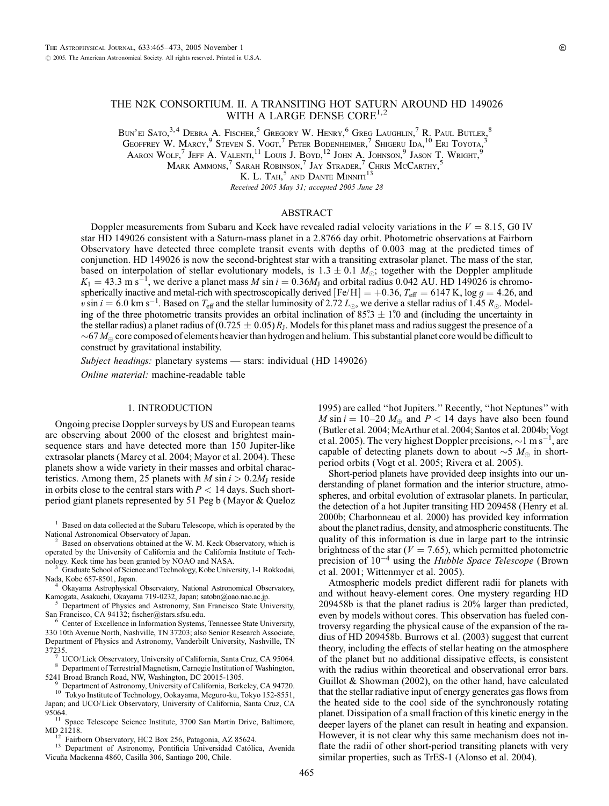# THE N2K CONSORTIUM. II. A TRANSITING HOT SATURN AROUND HD 149026 WITH A LARGE DENSE CORE<sup>1,2</sup>

Bun'ei Sato, 3,4 Debra A. Fischer, <sup>5</sup> Gregory W. Henry, <sup>6</sup> Greg Laughlin, <sup>7</sup> R. Paul Butler, <sup>8</sup>

Geoffrey W. Marcy,  $9$  Steven S. Vogt,  $7$  Peter Bodenheimer,  $7$  Shigeru Ida,  $^{10}$  Eri Toyota,  $^{3}$ 

Aaron Wolf,  $^7$  Jeff A. Valenti,  $^{11}$  Louis J. Boyd,  $^{12}$  John A. Johnson,  $^9$  Jason T. Wright,  $^9$ 

Mark Ammons,  $^7$  Sarah Robinson,  $^7$  Jay Strader,  $^7$  Chris McCarthy,  $^5$ 

K. L. Tah.<sup>5</sup> and Dante Minniti<sup>13</sup>

Received 2005 May 31; accepted 2005 June 28

## ABSTRACT

Doppler measurements from Subaru and Keck have revealed radial velocity variations in the  $V = 8.15$ , G0 IV star HD 149026 consistent with a Saturn-mass planet in a 2.8766 day orbit. Photometric observations at Fairborn Observatory have detected three complete transit events with depths of 0.003 mag at the predicted times of conjunction. HD 149026 is now the second-brightest star with a transiting extrasolar planet. The mass of the star, based on interpolation of stellar evolutionary models, is  $1.3 \pm 0.1$  M<sub>o</sub>; together with the Doppler amplitude  $K_1 = 43.3 \text{ m s}^{-1}$ , we derive a planet mass M sin  $i = 0.36M_J$  and orbital radius 0.042 AU. HD 149026 is chromospherically inactive and metal-rich with spectroscopically derived  $[Fe/H] = +0.36$ ,  $T_{\text{eff}} = 6147$  K, log  $g = 4.26$ , and  $v \sin i = 6.0$  km s<sup>-1</sup>. Based on  $T_{\text{eff}}$  and the stellar luminosity of 2.72  $L_{\odot}$ , we derive a stellar radius of 1.45  $R_{\odot}$ . Modeling of the three photometric transits provides an orbital inclination of  $85^\circ/3 \pm 1^\circ/0$  and (including the uncertainty in the stellar radius) a planet radius of  $(0.725 \pm 0.05)R_J$ . Models for this planet mass and radius suggest the presence of a  $\sim$  67  $M_{\oplus}$  core composed of elements heavier than hydrogen and helium. This substantial planet core would be difficult to construct by gravitational instability.

Subject headings: planetary systems - stars: individual (HD 149026)

Online material: machine-readable table

### 1. INTRODUCTION

Ongoing precise Doppler surveys by US and European teams are observing about 2000 of the closest and brightest mainsequence stars and have detected more than 150 Jupiter-like extrasolar planets (Marcy et al. 2004; Mayor et al. 2004). These planets show a wide variety in their masses and orbital characteristics. Among them, 25 planets with *M* sin  $i > 0.2M_J$  reside in orbits close to the central stars with  $P < 14$  days. Such shortperiod giant planets represented by 51 Peg b (Mayor & Queloz

<sup>1</sup> Based on data collected at the Subaru Telescope, which is operated by the National Astronomical Observatory of Japan.

Based on observations obtained at the W. M. Keck Observatory, which is operated by the University of California and the California Institute of Tech-

Graduate School of Science and Technology, Kobe University, 1-1 Rokkodai,

Nada, Kobe 657-8501, Japan.<br><sup>4</sup> Okayama Astrophysical Observatory, National Astronomical Observatory, Kamogata, Asakuchi, Okayama 719-0232, Japan; satobn@oao.nao.ac.jp.

<sup>5</sup> Department of Physics and Astronomy, San Francisco State University, San Francisco, CA 94132; fischer@stars.sfsu.edu. <sup>6</sup> Center of Excellence in Information Systems, Tennessee State University,

330 10th Avenue North, Nashville, TN 37203; also Senior Research Associate, Department of Physics and Astronomy, Vanderbilt University, Nashville, TN

<sup>7</sup> UCO/Lick Observatory, University of California, Santa Cruz, CA 95064.<br><sup>8</sup> Department of Terrestrial Magnetism, Carnegie Institution of Washington, 5241 Broad Branch Road, NW, Washington, DC 20015-1305.

- 
- <sup>9</sup> Department of Astronomy, University of California, Berkeley, CA 94720. <sup>10</sup> Tokyo Institute of Technology, Ookayama, Meguro-ku, Tokyo 152-8551,

Japan; and UCO/Lick Observatory, University of California, Santa Cruz, CA

95064. <sup>11</sup> Space Telescope Science Institute, 3700 San Martin Drive, Baltimore, MD 21218.<br><sup>12</sup> Fairborn Observatory, HC2 Box 256, Patagonia, AZ 85624.<br><sup>13</sup> Department of Astronomy, Pontificia Universidad Católica, Avenida

Vicuña Mackenna 4860, Casilla 306, Santiago 200, Chile.

1995) are called ''hot Jupiters.'' Recently, ''hot Neptunes'' with M sin  $i = 10-20$  M<sub> $\oplus$ </sub> and  $P < 14$  days have also been found (Butler et al. 2004; McArthur et al. 2004; Santos et al. 2004b; Vogt et al. 2005). The very highest Doppler precisions,  $\sim$ 1 m s<sup>-1</sup>, are capable of detecting planets down to about  $\sim$  5  $M_{\oplus}$  in shortperiod orbits (Vogt et al. 2005; Rivera et al. 2005).

Short-period planets have provided deep insights into our understanding of planet formation and the interior structure, atmospheres, and orbital evolution of extrasolar planets. In particular, the detection of a hot Jupiter transiting HD 209458 (Henry et al. 2000b; Charbonneau et al. 2000) has provided key information about the planet radius, density, and atmospheric constituents. The quality of this information is due in large part to the intrinsic brightness of the star ( $V = 7.65$ ), which permitted photometric precision of  $10^{-4}$  using the Hubble Space Telescope (Brown et al. 2001; Wittenmyer et al. 2005).

Atmospheric models predict different radii for planets with and without heavy-element cores. One mystery regarding HD 209458b is that the planet radius is 20% larger than predicted, even by models without cores. This observation has fueled controversy regarding the physical cause of the expansion of the radius of HD 209458b. Burrows et al. (2003) suggest that current theory, including the effects of stellar heating on the atmosphere of the planet but no additional dissipative effects, is consistent with the radius within theoretical and observational error bars. Guillot & Showman (2002), on the other hand, have calculated that the stellar radiative input of energy generates gas flows from the heated side to the cool side of the synchronously rotating planet. Dissipation of a small fraction of this kinetic energy in the deeper layers of the planet can result in heating and expansion. However, it is not clear why this same mechanism does not inflate the radii of other short-period transiting planets with very similar properties, such as TrES-1 (Alonso et al. 2004).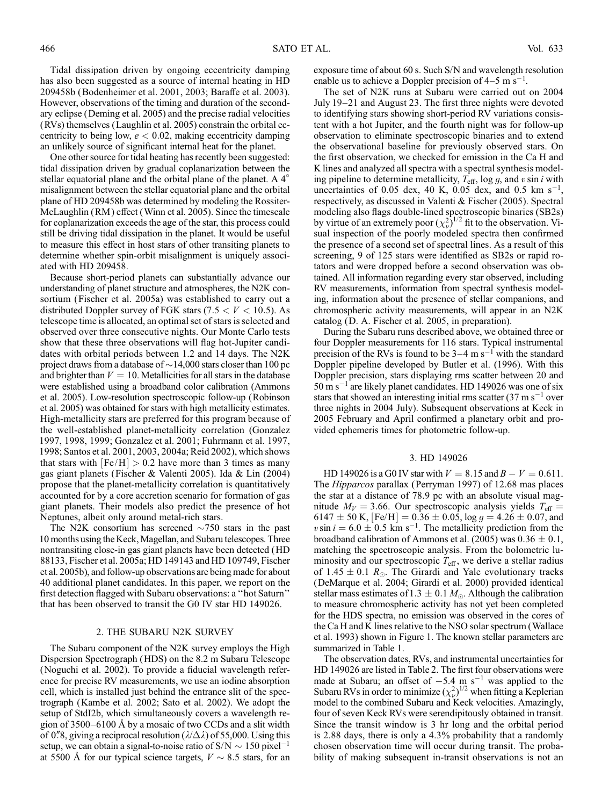Tidal dissipation driven by ongoing eccentricity damping has also been suggested as a source of internal heating in HD 209458b (Bodenheimer et al. 2001, 2003; Baraffe et al. 2003). However, observations of the timing and duration of the secondary eclipse (Deming et al. 2005) and the precise radial velocities (RVs) themselves (Laughlin et al. 2005) constrain the orbital eccentricity to being low,  $e < 0.02$ , making eccentricity damping an unlikely source of significant internal heat for the planet.

One other source for tidal heating has recently been suggested: tidal dissipation driven by gradual coplanarization between the stellar equatorial plane and the orbital plane of the planet. A 4 misalignment between the stellar equatorial plane and the orbital plane of HD 209458b was determined by modeling the Rossiter-McLaughlin (RM ) effect (Winn et al. 2005). Since the timescale for coplanarization exceeds the age of the star, this process could still be driving tidal dissipation in the planet. It would be useful to measure this effect in host stars of other transiting planets to determine whether spin-orbit misalignment is uniquely associated with HD 209458.

Because short-period planets can substantially advance our understanding of planet structure and atmospheres, the N2K consortium (Fischer et al. 2005a) was established to carry out a distributed Doppler survey of FGK stars  $(7.5 < V < 10.5)$ . As telescope time is allocated, an optimal set of stars is selected and observed over three consecutive nights. Our Monte Carlo tests show that these three observations will flag hot-Jupiter candidates with orbital periods between 1.2 and 14 days. The N2K project draws from a database of  $\sim$  14,000 stars closer than 100 pc and brighter than  $V = 10$ . Metallicities for all stars in the database were established using a broadband color calibration (Ammons et al. 2005). Low-resolution spectroscopic follow-up (Robinson et al. 2005) was obtained for stars with high metallicity estimates. High-metallicity stars are preferred for this program because of the well-established planet-metallicity correlation (Gonzalez 1997, 1998, 1999; Gonzalez et al. 2001; Fuhrmann et al. 1997, 1998; Santos et al. 2001, 2003, 2004a; Reid 2002), which shows that stars with  $[Fe/H] > 0.2$  have more than 3 times as many gas giant planets (Fischer & Valenti 2005). Ida & Lin (2004) propose that the planet-metallicity correlation is quantitatively accounted for by a core accretion scenario for formation of gas giant planets. Their models also predict the presence of hot Neptunes, albeit only around metal-rich stars.

The N2K consortium has screened  $\sim$ 750 stars in the past 10 months using the Keck, Magellan, and Subaru telescopes. Three nontransiting close-in gas giant planets have been detected (HD 88133, Fischer et al. 2005a; HD 149143 and HD 109749, Fischer et al. 2005b), and follow-up observations are being made for about 40 additional planet candidates. In this paper, we report on the first detection flagged with Subaru observations: a ''hot Saturn'' that has been observed to transit the G0 IV star HD 149026.

### 2. THE SUBARU N2K SURVEY

The Subaru component of the N2K survey employs the High Dispersion Spectrograph (HDS) on the 8.2 m Subaru Telescope (Noguchi et al. 2002). To provide a fiducial wavelength reference for precise RV measurements, we use an iodine absorption cell, which is installed just behind the entrance slit of the spectrograph (Kambe et al. 2002; Sato et al. 2002). We adopt the setup of StdI2b, which simultaneously covers a wavelength region of  $3500-6100$  Å by a mosaic of two CCDs and a slit width of 0.8, giving a reciprocal resolution  $(\lambda/\Delta\lambda)$  of 55,000. Using this setup, we can obtain a signal-to-noise ratio of  $S/N \sim 150$  pixel<sup>-1</sup> at 5500 Å for our typical science targets,  $V \sim 8.5$  stars, for an

exposure time of about 60 s. Such S/N and wavelength resolution enable us to achieve a Doppler precision of  $4-5 \text{ m s}^{-1}$ .

The set of N2K runs at Subaru were carried out on 2004 July 19–21 and August 23. The first three nights were devoted to identifying stars showing short-period RV variations consistent with a hot Jupiter, and the fourth night was for follow-up observation to eliminate spectroscopic binaries and to extend the observational baseline for previously observed stars. On the first observation, we checked for emission in the Ca H and K lines and analyzed all spectra with a spectral synthesis modeling pipeline to determine metallicity,  $T_{\text{eff}}$ , log g, and v sin i with uncertainties of 0.05 dex, 40 K, 0.05 dex, and 0.5 km s<sup>-1</sup>, respectively, as discussed in Valenti & Fischer (2005). Spectral modeling also flags double-lined spectroscopic binaries (SB2s) by virtue of an extremely poor  $(\chi^2_{\nu})^{1/2}$  fit to the observation. Visual inspection of the poorly modeled spectra then confirmed the presence of a second set of spectral lines. As a result of this screening, 9 of 125 stars were identified as SB2s or rapid rotators and were dropped before a second observation was obtained. All information regarding every star observed, including RV measurements, information from spectral synthesis modeling, information about the presence of stellar companions, and chromospheric activity measurements, will appear in an N2K catalog (D. A. Fischer et al. 2005, in preparation).

During the Subaru runs described above, we obtained three or four Doppler measurements for 116 stars. Typical instrumental precision of the RVs is found to be  $3-4$  m s<sup>-1</sup> with the standard Doppler pipeline developed by Butler et al. (1996). With this Doppler precision, stars displaying rms scatter between 20 and  $50 \text{ m s}^{-1}$  are likely planet candidates. HD 149026 was one of six stars that showed an interesting initial rms scatter  $(37 \text{ m s}^{-1}$  over three nights in 2004 July). Subsequent observations at Keck in 2005 February and April confirmed a planetary orbit and provided ephemeris times for photometric follow-up.

#### 3. HD 149026

HD 149026 is a G0 IV star with  $V = 8.15$  and  $B - V = 0.611$ . The Hipparcos parallax (Perryman 1997) of 12.68 mas places the star at a distance of 78.9 pc with an absolute visual magnitude  $M_V = 3.66$ . Our spectroscopic analysis yields  $T_{\text{eff}} =$ 6147  $\pm$  50 K, [Fe/H] = 0.36  $\pm$  0.05, log g = 4.26  $\pm$  0.07, and v sin  $i = 6.0 \pm 0.5$  km s<sup>-1</sup>. The metallicity prediction from the broadband calibration of Ammons et al. (2005) was  $0.36 \pm 0.1$ , matching the spectroscopic analysis. From the bolometric luminosity and our spectroscopic  $T_{\text{eff}}$ , we derive a stellar radius of 1.45  $\pm$  0.1  $R_{\odot}$ . The Girardi and Yale evolutionary tracks (DeMarque et al. 2004; Girardi et al. 2000) provided identical stellar mass estimates of  $1.3 \pm 0.1$   $M_{\odot}$ . Although the calibration to measure chromospheric activity has not yet been completed for the HDS spectra, no emission was observed in the cores of the Ca H and K lines relative to the NSO solar spectrum (Wallace et al. 1993) shown in Figure 1. The known stellar parameters are summarized in Table 1.

The observation dates, RVs, and instrumental uncertainties for HD 149026 are listed in Table 2. The first four observations were made at Subaru; an offset of  $-5.4$  m s<sup>-1</sup> was applied to the Subaru RVs in order to minimize  $(\chi^2_\nu)^{1/2}$  when fitting a Keplerian model to the combined Subaru and Keck velocities. Amazingly, four of seven Keck RVs were serendipitously obtained in transit. Since the transit window is 3 hr long and the orbital period is 2.88 days, there is only a 4.3% probability that a randomly chosen observation time will occur during transit. The probability of making subsequent in-transit observations is not an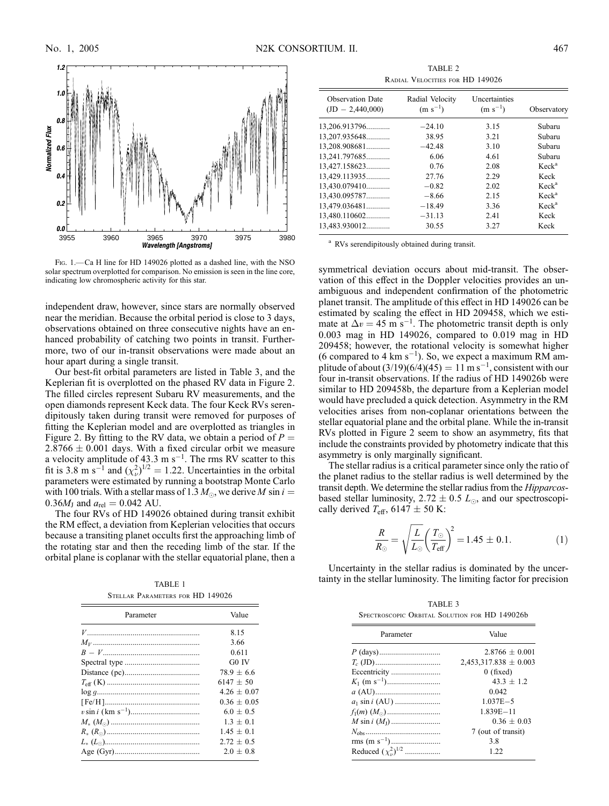

FIG. 1. - Ca H line for HD 149026 plotted as a dashed line, with the NSO solar spectrum overplotted for comparison. No emission is seen in the line core, indicating low chromospheric activity for this star.

independent draw, however, since stars are normally observed near the meridian. Because the orbital period is close to 3 days, observations obtained on three consecutive nights have an enhanced probability of catching two points in transit. Furthermore, two of our in-transit observations were made about an hour apart during a single transit.

Our best-fit orbital parameters are listed in Table 3, and the Keplerian fit is overplotted on the phased RV data in Figure 2. The filled circles represent Subaru RV measurements, and the open diamonds represent Keck data. The four Keck RVs serendipitously taken during transit were removed for purposes of fitting the Keplerian model and are overplotted as triangles in Figure 2. By fitting to the RV data, we obtain a period of  $P =$  $2.8766 \pm 0.001$  days. With a fixed circular orbit we measure a velocity amplitude of 43.3 m  $s^{-1}$ . The rms RV scatter to this fit is 3.8 m s<sup>-1</sup> and  $(\chi^2_\nu)^{1/2} = 1.22$ . Uncertainties in the orbital parameters were estimated by running a bootstrap Monte Carlo with 100 trials. With a stellar mass of 1.3  $M_{\odot}$ , we derive  $M$  sin  $i=$ 0.36 $M_J$  and  $a_{rel} = 0.042$  AU.

The four RVs of HD 149026 obtained during transit exhibit the RM effect, a deviation from Keplerian velocities that occurs because a transiting planet occults first the approaching limb of the rotating star and then the receding limb of the star. If the orbital plane is coplanar with the stellar equatorial plane, then a

Stellar Parameters for HD 149026

| Parameter | Value         |
|-----------|---------------|
|           | 8.15          |
|           | 3.66          |
|           | 0.611         |
|           | G0 IV         |
|           | $78.9 + 6.6$  |
|           | $6147 \pm 50$ |
|           | $4.26 + 0.07$ |
|           | $0.36 + 0.05$ |
|           | $6.0 + 0.5$   |
|           | $1.3 + 0.1$   |
|           | $1.45 + 0.1$  |
|           | $2.72 + 0.5$  |
|           | $2.0 + 0.8$   |

TABLE 2 Radial Velocities for HD 149026

| <b>Observation Date</b><br>$(JD - 2,440,000)$ | Radial Velocity<br>$(m s^{-1})$ | Uncertainties<br>$(m s^{-1})$ | Observatory       |
|-----------------------------------------------|---------------------------------|-------------------------------|-------------------|
| 13,206.913796                                 | $-24.10$                        | 3.15                          | Subaru            |
| 13,207.935648                                 | 38.95                           | 3.21                          | Subaru            |
| 13,208.908681                                 | $-42.48$                        | 3.10                          | Subaru            |
| 13,241.797685                                 | 6.06                            | 4.61                          | Subaru            |
| 13,427.158623                                 | 0.76                            | 2.08                          | Keck <sup>a</sup> |
| 13,429.113935                                 | 27.76                           | 2.29                          | Keck              |
| 13,430.079410                                 | $-0.82$                         | 2.02                          | Keck <sup>a</sup> |
| 13,430.095787                                 | $-8.66$                         | 2.15                          | Keck <sup>a</sup> |
| 13,479.036481                                 | $-18.49$                        | 3.36                          | Keck <sup>a</sup> |
| 13,480.110602                                 | $-31.13$                        | 2.41                          | Keck              |
| 13,483.930012                                 | 30.55                           | 3.27                          | Keck              |

RVs serendipitously obtained during transit.

symmetrical deviation occurs about mid-transit. The observation of this effect in the Doppler velocities provides an unambiguous and independent confirmation of the photometric planet transit. The amplitude of this effect in HD 149026 can be estimated by scaling the effect in HD 209458, which we estimate at  $\Delta v = 45 \text{ m s}^{-1}$ . The photometric transit depth is only 0.003 mag in HD 149026, compared to 0.019 mag in HD 209458; however, the rotational velocity is somewhat higher (6 compared to 4  $\rm km~s^{-1}$ ). So, we expect a maximum RM amplitude of about  $(3/19)(6/4)(45) = 11 \text{ m s}^{-1}$ , consistent with our four in-transit observations. If the radius of HD 149026b were similar to HD 209458b, the departure from a Keplerian model would have precluded a quick detection. Asymmetry in the RM velocities arises from non-coplanar orientations between the stellar equatorial plane and the orbital plane. While the in-transit RVs plotted in Figure 2 seem to show an asymmetry, fits that include the constraints provided by photometry indicate that this asymmetry is only marginally significant.

The stellar radius is a critical parameter since only the ratio of the planet radius to the stellar radius is well determined by the transit depth. We determine the stellar radius from the Hipparcosbased stellar luminosity,  $2.72 \pm 0.5$   $L_{\odot}$ , and our spectroscopically derived  $T_{\text{eff}}$ , 6147  $\pm$  50 K:

$$
\frac{R}{R_{\odot}} = \sqrt{\frac{L}{L_{\odot}}} \left(\frac{T_{\odot}}{T_{\text{eff}}} \right)^2 = 1.45 \pm 0.1. \tag{1}
$$

Uncertainty in the stellar radius is dominated by the uncertainty in the stellar luminosity. The limiting factor for precision TABLE <sup>1</sup>

| TABLE 3                                       |  |  |  |  |
|-----------------------------------------------|--|--|--|--|
| SPECTROSCOPIC ORBITAL SOLUTION FOR HD 149026b |  |  |  |  |

| Parameter                      | Value                     |  |  |
|--------------------------------|---------------------------|--|--|
|                                | $2.8766 + 0.001$          |  |  |
|                                | $2,453,317.838 \pm 0.003$ |  |  |
|                                | $0$ (fixed)               |  |  |
|                                | $43.3 + 1.2$              |  |  |
|                                | 0.042                     |  |  |
|                                | $1.037E - 5$              |  |  |
|                                | $1.839E - 11$             |  |  |
|                                | $0.36 + 0.03$             |  |  |
|                                | 7 (out of transit)        |  |  |
|                                | 3.8                       |  |  |
| Reduced $(\chi^2_{\nu})^{1/2}$ | 1.22                      |  |  |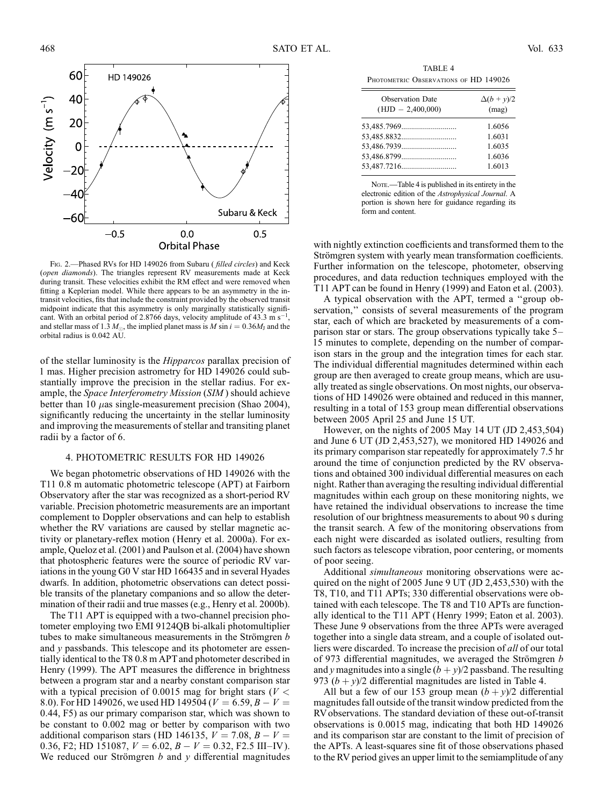FIG. 2.—Phased RVs for HD 149026 from Subaru (*filled circles*) and Keck (open diamonds). The triangles represent RV measurements made at Keck during transit. These velocities exhibit the RM effect and were removed when fitting a Keplerian model. While there appears to be an asymmetry in the intransit velocities, fits that include the constraint provided by the observed transit midpoint indicate that this asymmetry is only marginally statistically significant. With an orbital period of 2.8766 days, velocity amplitude of 43.3 m s<sup>-1</sup> and stellar mass of 1.3  $M_{\odot}$ , the implied planet mass is M sin  $i = 0.36M_{\rm J}$  and the orbital radius is 0.042 AU.

of the stellar luminosity is the Hipparcos parallax precision of 1 mas. Higher precision astrometry for HD 149026 could substantially improve the precision in the stellar radius. For example, the Space Interferometry Mission (SIM ) should achieve better than 10  $\mu$ as single-measurement precision (Shao 2004), significantly reducing the uncertainty in the stellar luminosity and improving the measurements of stellar and transiting planet radii by a factor of 6.

# 4. PHOTOMETRIC RESULTS FOR HD 149026

We began photometric observations of HD 149026 with the T11 0.8 m automatic photometric telescope (APT) at Fairborn Observatory after the star was recognized as a short-period RV variable. Precision photometric measurements are an important complement to Doppler observations and can help to establish whether the RV variations are caused by stellar magnetic activity or planetary-reflex motion (Henry et al. 2000a). For example, Queloz et al. (2001) and Paulson et al. (2004) have shown that photospheric features were the source of periodic RV variations in the young G0 V star HD 166435 and in several Hyades dwarfs. In addition, photometric observations can detect possible transits of the planetary companions and so allow the determination of their radii and true masses (e.g., Henry et al. 2000b).

The T11 APT is equipped with a two-channel precision photometer employing two EMI 9124QB bi-alkali photomultiplier tubes to make simultaneous measurements in the Strömgren  $$ and y passbands. This telescope and its photometer are essentially identical to the T8 0.8 m APT and photometer described in Henry (1999). The APT measures the difference in brightness between a program star and a nearby constant comparison star with a typical precision of 0.0015 mag for bright stars ( $V <$ 8.0). For HD 149026, we used HD 149504 ( $V = 6.59, B - V =$ 0:44, F5) as our primary comparison star, which was shown to be constant to 0.002 mag or better by comparison with two additional comparison stars (HD 146135,  $V = 7.08$ ,  $B - V =$ 0.36, F2; HD 151087,  $V = 6.02$ ,  $B - V = 0.32$ , F2.5 III–IV). We reduced our Strömgren  $b$  and  $y$  differential magnitudes

TABLE 4 PHOTOMETRIC OBSERVATIONS OF HD 149026

| <b>Observation Date</b> | $\Delta(b + y)/2$ |
|-------------------------|-------------------|
| $(HJD - 2,400,000)$     | (mag)             |
|                         | 1.6056            |
|                         | 1.6031            |
|                         | 1.6035            |
|                         | 1.6036            |
|                         | 1.6013            |

NOTE.—Table 4 is published in its entirety in the electronic edition of the Astrophysical Journal. A portion is shown here for guidance regarding its form and content.

with nightly extinction coefficients and transformed them to the Strömgren system with yearly mean transformation coefficients. Further information on the telescope, photometer, observing procedures, and data reduction techniques employed with the T11 APT can be found in Henry (1999) and Eaton et al. (2003).

A typical observation with the APT, termed a ''group observation," consists of several measurements of the program star, each of which are bracketed by measurements of a comparison star or stars. The group observations typically take 5– 15 minutes to complete, depending on the number of comparison stars in the group and the integration times for each star. The individual differential magnitudes determined within each group are then averaged to create group means, which are usually treated as single observations. On most nights, our observations of HD 149026 were obtained and reduced in this manner, resulting in a total of 153 group mean differential observations between 2005 April 25 and June 15 UT.

However, on the nights of 2005 May 14 UT (JD 2,453,504) and June 6 UT (JD 2,453,527), we monitored HD 149026 and its primary comparison star repeatedly for approximately 7.5 hr around the time of conjunction predicted by the RV observations and obtained 300 individual differential measures on each night. Rather than averaging the resulting individual differential magnitudes within each group on these monitoring nights, we have retained the individual observations to increase the time resolution of our brightness measurements to about 90 s during the transit search. A few of the monitoring observations from each night were discarded as isolated outliers, resulting from such factors as telescope vibration, poor centering, or moments of poor seeing.

Additional simultaneous monitoring observations were acquired on the night of 2005 June 9 UT (JD 2,453,530) with the T8, T10, and T11 APTs; 330 differential observations were obtained with each telescope. The T8 and T10 APTs are functionally identical to the T11 APT (Henry 1999; Eaton et al. 2003). These June 9 observations from the three APTs were averaged together into a single data stream, and a couple of isolated outliers were discarded. To increase the precision of all of our total of 973 differential magnitudes, we averaged the Strömgren  $b$ and y magnitudes into a single  $(b + y)/2$  passband. The resulting 973  $(b + y)/2$  differential magnitudes are listed in Table 4.

All but a few of our 153 group mean  $(b + y)/2$  differential magnitudes fall outside of the transit window predicted from the RV observations. The standard deviation of these out-of-transit observations is 0.0015 mag, indicating that both HD 149026 and its comparison star are constant to the limit of precision of the APTs. A least-squares sine fit of those observations phased to the RV period gives an upper limit to the semiamplitude of any

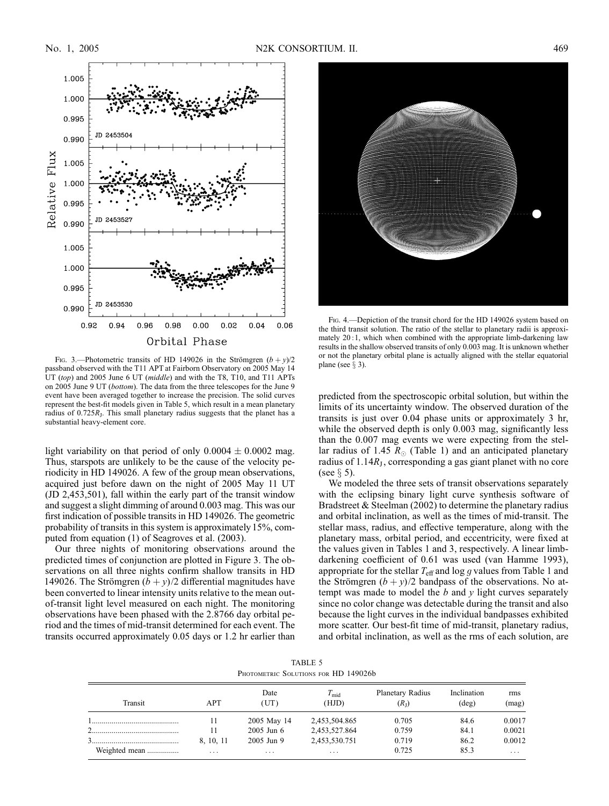

Fig. 3.—Photometric transits of HD 149026 in the Strömgren  $(b + v)/2$ passband observed with the T11 APT at Fairborn Observatory on 2005 May 14 UT (top) and 2005 June 6 UT (middle) and with the T8, T10, and T11 APTs on 2005 June 9 UT (bottom). The data from the three telescopes for the June 9 event have been averaged together to increase the precision. The solid curves represent the best-fit models given in Table 5, which result in a mean planetary radius of  $0.725R_J$ . This small planetary radius suggests that the planet has a substantial heavy-element core.

light variability on that period of only  $0.0004 \pm 0.0002$  mag. Thus, starspots are unlikely to be the cause of the velocity periodicity in HD 149026. A few of the group mean observations, acquired just before dawn on the night of 2005 May 11 UT (JD 2,453,501), fall within the early part of the transit window and suggest a slight dimming of around 0.003 mag. This was our first indication of possible transits in HD 149026. The geometric probability of transits in this system is approximately 15%, computed from equation (1) of Seagroves et al. (2003).

Our three nights of monitoring observations around the predicted times of conjunction are plotted in Figure 3. The observations on all three nights confirm shallow transits in HD 149026. The Strömgren  $(b + y)/2$  differential magnitudes have been converted to linear intensity units relative to the mean outof-transit light level measured on each night. The monitoring observations have been phased with the 2.8766 day orbital period and the times of mid-transit determined for each event. The transits occurred approximately 0.05 days or 1.2 hr earlier than



Fig. 4.—Depiction of the transit chord for the HD 149026 system based on the third transit solution. The ratio of the stellar to planetary radii is approximately 20 :1, which when combined with the appropriate limb-darkening law results in the shallow observed transits of only 0.003 mag. It is unknown whether or not the planetary orbital plane is actually aligned with the stellar equatorial plane (see  $\S$  3).

predicted from the spectroscopic orbital solution, but within the limits of its uncertainty window. The observed duration of the transits is just over 0.04 phase units or approximately 3 hr, while the observed depth is only 0.003 mag, significantly less than the 0.007 mag events we were expecting from the stellar radius of 1.45  $R_{\odot}$  (Table 1) and an anticipated planetary radius of  $1.14R<sub>J</sub>$ , corresponding a gas giant planet with no core (see  $\S$  5).

We modeled the three sets of transit observations separately with the eclipsing binary light curve synthesis software of Bradstreet & Steelman (2002) to determine the planetary radius and orbital inclination, as well as the times of mid-transit. The stellar mass, radius, and effective temperature, along with the planetary mass, orbital period, and eccentricity, were fixed at the values given in Tables 1 and 3, respectively. A linear limbdarkening coefficient of 0.61 was used (van Hamme 1993), appropriate for the stellar  $T_{\text{eff}}$  and log g values from Table 1 and the Strömgren  $(b + y)/2$  bandpass of the observations. No attempt was made to model the  $b$  and  $y$  light curves separately since no color change was detectable during the transit and also because the light curves in the individual bandpasses exhibited more scatter. Our best-fit time of mid-transit, planetary radius, and orbital inclination, as well as the rms of each solution, are

TABLE 5 PHOTOMETRIC SOLUTIONS FOR HD 149026b

| Transit       | <b>APT</b> | Date<br>(UT)   | $T_{\rm mid}$<br>(HJD) | Planetary Radius<br>(R <sub>1</sub> ) | Inclination<br>$(\text{deg})$ | rms<br>(mag) |
|---------------|------------|----------------|------------------------|---------------------------------------|-------------------------------|--------------|
|               | 11         | 2005 May 14    | 2,453,504.865          | 0.705                                 | 84.6                          | 0.0017       |
|               | 11         | $2005$ Jun $6$ | 2,453,527.864          | 0.759                                 | 84.1                          | 0.0021       |
|               | 8, 10, 11  | $2005$ Jun 9   | 2,453,530.751          | 0.719                                 | 86.2                          | 0.0012       |
| Weighted mean | .          | .              | $\cdots$               | 0.725                                 | 85.3                          | .            |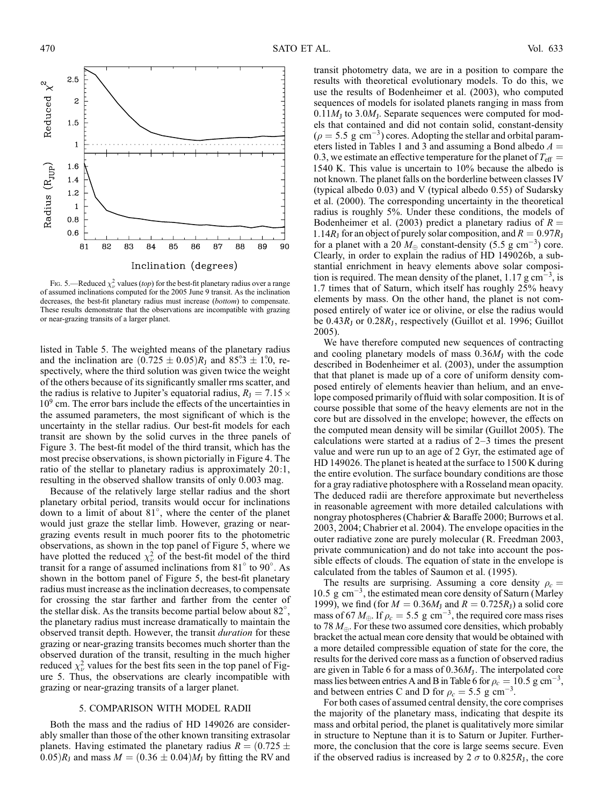

FIG. 5.—Reduced  $\chi^2_\nu$  values (top) for the best-fit planetary radius over a range of assumed inclinations computed for the 2005 June 9 transit. As the inclination decreases, the best-fit planetary radius must increase (bottom) to compensate. These results demonstrate that the observations are incompatible with grazing or near-grazing transits of a larger planet.

listed in Table 5. The weighted means of the planetary radius and the inclination are  $(0.725 \pm 0.05)R_{\text{I}}$  and  $85^\circ$ ;  $3 \pm 1^\circ$ ; respectively, where the third solution was given twice the weight of the others because of its significantly smaller rms scatter, and the radius is relative to Jupiter's equatorial radius,  $R_{\text{J}} = 7.15 \times$ 10<sup>9</sup> cm. The error bars include the effects of the uncertainties in the assumed parameters, the most significant of which is the uncertainty in the stellar radius. Our best-fit models for each transit are shown by the solid curves in the three panels of Figure 3. The best-fit model of the third transit, which has the most precise observations, is shown pictorially in Figure 4. The ratio of the stellar to planetary radius is approximately 20:1, resulting in the observed shallow transits of only 0.003 mag.

Because of the relatively large stellar radius and the short planetary orbital period, transits would occur for inclinations down to a limit of about 81 , where the center of the planet would just graze the stellar limb. However, grazing or neargrazing events result in much poorer fits to the photometric observations, as shown in the top panel of Figure 5, where we have plotted the reduced  $\chi^2_{\nu}$  of the best-fit model of the third transit for a range of assumed inclinations from  $81^\circ$  to  $90^\circ$ . As shown in the bottom panel of Figure 5, the best-fit planetary radius must increase as the inclination decreases, to compensate for crossing the star farther and farther from the center of the stellar disk. As the transits become partial below about 82°, the planetary radius must increase dramatically to maintain the observed transit depth. However, the transit *duration* for these grazing or near-grazing transits becomes much shorter than the observed duration of the transit, resulting in the much higher reduced  $\chi^2_{\nu}$  values for the best fits seen in the top panel of Figure 5. Thus, the observations are clearly incompatible with grazing or near-grazing transits of a larger planet.

#### 5. COMPARISON WITH MODEL RADII

Both the mass and the radius of HD 149026 are considerably smaller than those of the other known transiting extrasolar planets. Having estimated the planetary radius  $R = (0.725 \pm 0.725)$  $(0.05)R<sub>I</sub>$  and mass  $M = (0.36 \pm 0.04)M<sub>I</sub>$  by fitting the RV and

transit photometry data, we are in a position to compare the results with theoretical evolutionary models. To do this, we use the results of Bodenheimer et al. (2003), who computed sequences of models for isolated planets ranging in mass from  $0.11M_J$  to 3.0 $M_J$ . Separate sequences were computed for models that contained and did not contain solid, constant-density  $(\rho = 5.5 \text{ g cm}^{-3})$  cores. Adopting the stellar and orbital parameters listed in Tables 1 and 3 and assuming a Bond albedo  $A =$ 0.3, we estimate an effective temperature for the planet of  $T_{\text{eff}} =$ 1540 K. This value is uncertain to 10% because the albedo is not known. The planet falls on the borderline between classes IV (typical albedo 0.03) and V (typical albedo 0.55) of Sudarsky et al. (2000). The corresponding uncertainty in the theoretical radius is roughly 5%. Under these conditions, the models of Bodenheimer et al. (2003) predict a planetary radius of  $R =$ 1.14 $R_J$  for an object of purely solar composition, and  $R = 0.97R_J$ for a planet with a 20  $M_{\oplus}$  constant-density (5.5 g cm<sup>-3</sup>) core. Clearly, in order to explain the radius of HD 149026b, a substantial enrichment in heavy elements above solar composition is required. The mean density of the planet,  $1.17 \text{ g cm}^{-3}$ , is 1.7 times that of Saturn, which itself has roughly 25% heavy elements by mass. On the other hand, the planet is not composed entirely of water ice or olivine, or else the radius would be  $0.43R<sub>I</sub>$  or  $0.28R<sub>I</sub>$ , respectively (Guillot et al. 1996; Guillot 2005).

We have therefore computed new sequences of contracting and cooling planetary models of mass  $0.36M<sub>J</sub>$  with the code described in Bodenheimer et al. (2003), under the assumption that that planet is made up of a core of uniform density composed entirely of elements heavier than helium, and an envelope composed primarily of fluid with solar composition. It is of course possible that some of the heavy elements are not in the core but are dissolved in the envelope; however, the effects on the computed mean density will be similar (Guillot 2005). The calculations were started at a radius of 2–3 times the present value and were run up to an age of 2 Gyr, the estimated age of HD 149026. The planet is heated at the surface to 1500 K during the entire evolution. The surface boundary conditions are those for a gray radiative photosphere with a Rosseland mean opacity. The deduced radii are therefore approximate but nevertheless in reasonable agreement with more detailed calculations with nongray photospheres (Chabrier & Baraffe 2000; Burrows et al. 2003, 2004; Chabrier et al. 2004). The envelope opacities in the outer radiative zone are purely molecular (R. Freedman 2003, private communication) and do not take into account the possible effects of clouds. The equation of state in the envelope is calculated from the tables of Saumon et al. (1995).

The results are surprising. Assuming a core density  $\rho_c =$  $10.5 \text{ g cm}^{-3}$ , the estimated mean core density of Saturn (Marley 1999), we find (for  $M = 0.36M_J$  and  $R = 0.725R_J$ ) a solid core mass of 67  $M_{\oplus}$ . If  $\rho_c = 5.5$  g cm<sup>-3</sup>, the required core mass rises to 78  $M_{\oplus}$ . For these two assumed core densities, which probably bracket the actual mean core density that would be obtained with a more detailed compressible equation of state for the core, the results for the derived core mass as a function of observed radius are given in Table 6 for a mass of  $0.36M<sub>J</sub>$ . The interpolated core mass lies between entries A and B in Table 6 for  $\rho_c = 10.5 \text{ g cm}^{-3}$ , and between entries C and D for  $\rho_c = 5.5 \text{ g cm}^{-3}$ .

For both cases of assumed central density, the core comprises the majority of the planetary mass, indicating that despite its mass and orbital period, the planet is qualitatively more similar in structure to Neptune than it is to Saturn or Jupiter. Furthermore, the conclusion that the core is large seems secure. Even if the observed radius is increased by 2  $\sigma$  to 0.825 $R<sub>I</sub>$ , the core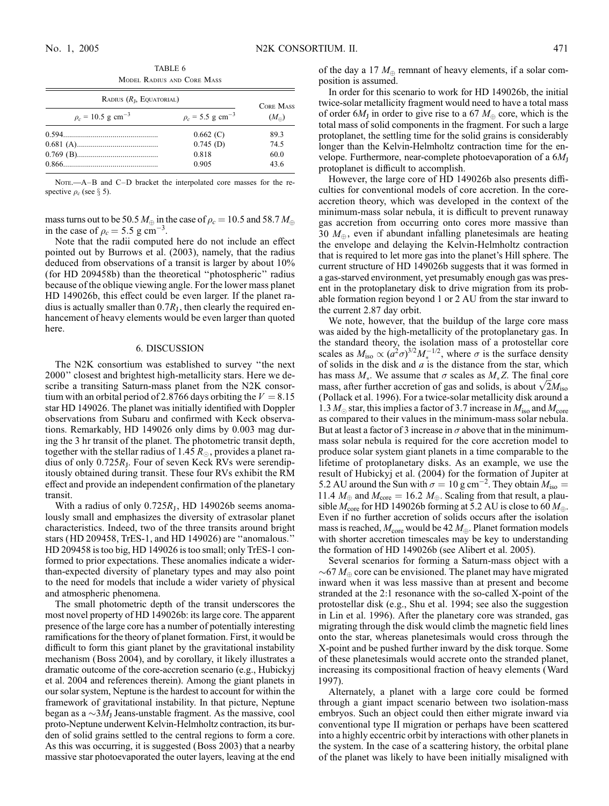| RADIUS $(RL, EQUATORIAL)$         | <b>CORE MASS</b>                  |                |  |
|-----------------------------------|-----------------------------------|----------------|--|
| $\rho_c = 10.5 \text{ g cm}^{-3}$ | $\rho_c = 5.5$ g cm <sup>-3</sup> | $(M_{\oplus})$ |  |
|                                   | $0.662$ (C)                       | 893            |  |
|                                   | $0.745$ (D)                       | 74.5           |  |
|                                   | 0.818                             | 60.0           |  |
|                                   | 0.905                             | 43.6           |  |

TABLE 6 Model Radius and Core Mass

Note.—A–B and C–D bracket the interpolated core masses for the respective  $\rho_c$  (see § 5).

mass turns out to be 50.5  $M_{\oplus}$  in the case of  $\rho_c = 10.5$  and 58.7  $M_{\oplus}$ in the case of  $\rho_c = 5.5 \text{ g cm}^{-3}$ .

Note that the radii computed here do not include an effect pointed out by Burrows et al. (2003), namely, that the radius deduced from observations of a transit is larger by about 10% (for HD 209458b) than the theoretical ''photospheric'' radius because of the oblique viewing angle. For the lower mass planet HD 149026b, this effect could be even larger. If the planet radius is actually smaller than  $0.7R<sub>J</sub>$ , then clearly the required enhancement of heavy elements would be even larger than quoted here.

### 6. DISCUSSION

The N2K consortium was established to survey ''the next 2000'' closest and brightest high-metallicity stars. Here we describe a transiting Saturn-mass planet from the N2K consortium with an orbital period of 2.8766 days orbiting the  $V = 8.15$ star HD 149026. The planet was initially identified with Doppler observations from Subaru and confirmed with Keck observations. Remarkably, HD 149026 only dims by 0.003 mag during the 3 hr transit of the planet. The photometric transit depth, together with the stellar radius of 1.45  $R_\odot,$  provides a planet radius of only 0.725RJ. Four of seven Keck RVs were serendipitously obtained during transit. These four RVs exhibit the RM effect and provide an independent confirmation of the planetary transit.

With a radius of only  $0.725R<sub>I</sub>$ , HD 149026b seems anomalously small and emphasizes the diversity of extrasolar planet characteristics. Indeed, two of the three transits around bright stars (HD 209458, TrES-1, and HD 149026) are ''anomalous.'' HD 209458 is too big, HD 149026 is too small; only TrES-1 conformed to prior expectations. These anomalies indicate a widerthan-expected diversity of planetary types and may also point to the need for models that include a wider variety of physical and atmospheric phenomena.

The small photometric depth of the transit underscores the most novel property of HD 149026b: its large core. The apparent presence of the large core has a number of potentially interesting ramifications for the theory of planet formation. First, it would be difficult to form this giant planet by the gravitational instability mechanism (Boss 2004), and by corollary, it likely illustrates a dramatic outcome of the core-accretion scenario (e.g., Hubickyj et al. 2004 and references therein). Among the giant planets in our solar system, Neptune is the hardest to account for within the framework of gravitational instability. In that picture, Neptune began as a  $\sim$ 3 $M_J$  Jeans-unstable fragment. As the massive, cool proto-Neptune underwent Kelvin-Helmholtz contraction, its burden of solid grains settled to the central regions to form a core. As this was occurring, it is suggested (Boss 2003) that a nearby massive star photoevaporated the outer layers, leaving at the end of the day a 17  $M_{\oplus}$  remnant of heavy elements, if a solar composition is assumed.

In order for this scenario to work for HD 149026b, the initial twice-solar metallicity fragment would need to have a total mass of order 6 $M_J$  in order to give rise to a 67  $M_\oplus$  core, which is the total mass of solid components in the fragment. For such a large protoplanet, the settling time for the solid grains is considerably longer than the Kelvin-Helmholtz contraction time for the envelope. Furthermore, near-complete photoevaporation of a  $6M_J$ protoplanet is difficult to accomplish.

However, the large core of HD 149026b also presents difficulties for conventional models of core accretion. In the coreaccretion theory, which was developed in the context of the minimum-mass solar nebula, it is difficult to prevent runaway gas accretion from occurring onto cores more massive than 30  $M_{\oplus}$ , even if abundant infalling planetesimals are heating the envelope and delaying the Kelvin-Helmholtz contraction that is required to let more gas into the planet's Hill sphere. The current structure of HD 149026b suggests that it was formed in a gas-starved environment, yet presumably enough gas was present in the protoplanetary disk to drive migration from its probable formation region beyond 1 or 2 AU from the star inward to the current 2.87 day orbit.

We note, however, that the buildup of the large core mass was aided by the high-metallicity of the protoplanetary gas. In the standard theory, the isolation mass of a protostellar core scales as  $M_{\text{iso}} \propto (a^2 \sigma)^{3/2} M_*^{-1/2}$ , where  $\sigma$  is the surface density of solids in the disk and  $a$  is the distance from the star, which has mass  $M_*$ . We assume that  $\sigma$  scales as  $M_*Z$ . The final core has mass  $M_*$ . We assume that  $\sigma$  scales as  $M_*Z$ . The final core mass, after further accretion of gas and solids, is about  $\sqrt{2}M_{\text{iso}}$ (Pollack et al. 1996). For a twice-solar metallicity disk around a 1.3  $M_{\odot}$  star, this implies a factor of 3.7 increase in  $M_{\rm iso}$  and  $M_{\rm core}$ as compared to their values in the minimum-mass solar nebula. But at least a factor of 3 increase in  $\sigma$  above that in the minimummass solar nebula is required for the core accretion model to produce solar system giant planets in a time comparable to the lifetime of protoplanetary disks. As an example, we use the result of Hubickyj et al. (2004) for the formation of Jupiter at 5.2 AU around the Sun with  $\sigma = 10$  g cm<sup>-2</sup>. They obtain  $M_{\text{iso}} =$ 11.4  $M_{\oplus}$  and  $M_{\rm core} = 16.2 M_{\oplus}$ . Scaling from that result, a plausible  $M_{\text{core}}$  for HD 149026b forming at 5.2 AU is close to 60  $M_{\oplus}$ . Even if no further accretion of solids occurs after the isolation mass is reached,  $M_{\text{core}}$  would be 42  $M_{\oplus}$ . Planet formation models with shorter accretion timescales may be key to understanding the formation of HD 149026b (see Alibert et al. 2005).

Several scenarios for forming a Saturn-mass object with a  $\sim 67 M_{\oplus}$  core can be envisioned. The planet may have migrated inward when it was less massive than at present and become stranded at the 2:1 resonance with the so-called X-point of the protostellar disk (e.g., Shu et al. 1994; see also the suggestion in Lin et al. 1996). After the planetary core was stranded, gas migrating through the disk would climb the magnetic field lines onto the star, whereas planetesimals would cross through the X-point and be pushed further inward by the disk torque. Some of these planetesimals would accrete onto the stranded planet, increasing its compositional fraction of heavy elements (Ward 1997).

Alternately, a planet with a large core could be formed through a giant impact scenario between two isolation-mass embryos. Such an object could then either migrate inward via conventional type II migration or perhaps have been scattered into a highly eccentric orbit by interactions with other planets in the system. In the case of a scattering history, the orbital plane of the planet was likely to have been initially misaligned with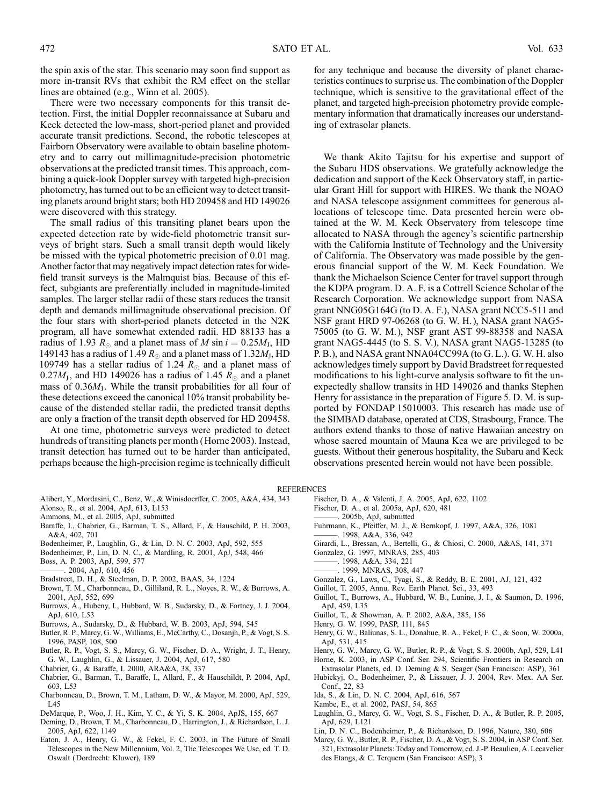the spin axis of the star. This scenario may soon find support as more in-transit RVs that exhibit the RM effect on the stellar lines are obtained (e.g., Winn et al. 2005).

There were two necessary components for this transit detection. First, the initial Doppler reconnaissance at Subaru and Keck detected the low-mass, short-period planet and provided accurate transit predictions. Second, the robotic telescopes at Fairborn Observatory were available to obtain baseline photometry and to carry out millimagnitude-precision photometric observations at the predicted transit times. This approach, combining a quick-look Doppler survey with targeted high-precision photometry, has turned out to be an efficient way to detect transiting planets around bright stars; both HD 209458 and HD 149026 were discovered with this strategy.

The small radius of this transiting planet bears upon the expected detection rate by wide-field photometric transit surveys of bright stars. Such a small transit depth would likely be missed with the typical photometric precision of 0.01 mag. Another factor that may negatively impact detection rates for widefield transit surveys is the Malmquist bias. Because of this effect, subgiants are preferentially included in magnitude-limited samples. The larger stellar radii of these stars reduces the transit depth and demands millimagnitude observational precision. Of the four stars with short-period planets detected in the N2K program, all have somewhat extended radii. HD 88133 has a radius of 1.93  $R_{\odot}$  and a planet mass of M sin  $i = 0.25M_{\rm J}$ , HD 149143 has a radius of 1.49  $R_{\odot}$  and a planet mass of 1.32 $M_{\rm J}$ , HD 109749 has a stellar radius of 1.24  $R_{\odot}$  and a planet mass of 0.27 $M_{\rm J}$ , and HD 149026 has a radius of 1.45  $R_{\odot}$  and a planet mass of  $0.36M<sub>I</sub>$ . While the transit probabilities for all four of these detections exceed the canonical 10% transit probability because of the distended stellar radii, the predicted transit depths are only a fraction of the transit depth observed for HD 209458.

At one time, photometric surveys were predicted to detect hundreds of transiting planets per month (Horne 2003). Instead, transit detection has turned out to be harder than anticipated, perhaps because the high-precision regime is technically difficult

for any technique and because the diversity of planet characteristics continues to surprise us. The combination of the Doppler technique, which is sensitive to the gravitational effect of the planet, and targeted high-precision photometry provide complementary information that dramatically increases our understanding of extrasolar planets.

We thank Akito Tajitsu for his expertise and support of the Subaru HDS observations. We gratefully acknowledge the dedication and support of the Keck Observatory staff, in particular Grant Hill for support with HIRES. We thank the NOAO and NASA telescope assignment committees for generous allocations of telescope time. Data presented herein were obtained at the W. M. Keck Observatory from telescope time allocated to NASA through the agency's scientific partnership with the California Institute of Technology and the University of California. The Observatory was made possible by the generous financial support of the W. M. Keck Foundation. We thank the Michaelson Science Center for travel support through the KDPA program. D. A. F. is a Cottrell Science Scholar of the Research Corporation. We acknowledge support from NASA grant NNG05G164G (to D. A. F.), NASA grant NCC5-511 and NSF grant HRD 97-06268 (to G. W. H. ), NASA grant NAG5- 75005 (to G. W. M. ), NSF grant AST 99-88358 and NASA grant NAG5-4445 (to S. S. V.), NASA grant NAG5-13285 (to P. B.), and NASA grant NNA04CC99A (to G. L.). G. W. H. also acknowledges timely support by David Bradstreet for requested modifications to his light-curve analysis software to fit the unexpectedly shallow transits in HD 149026 and thanks Stephen Henry for assistance in the preparation of Figure 5. D. M. is supported by FONDAP 15010003. This research has made use of the SIMBAD database, operated at CDS, Strasbourg, France. The authors extend thanks to those of native Hawaiian ancestry on whose sacred mountain of Mauna Kea we are privileged to be guests. Without their generous hospitality, the Subaru and Keck observations presented herein would not have been possible.

# **REFERENCES**

- Alibert, Y., Mordasini, C., Benz, W., & Winisdoerffer, C. 2005, A&A, 434, 343
- Alonso, R., et al. 2004, ApJ, 613, L153
- Ammons, M., et al. 2005, ApJ, submitted
- Baraffe, I., Chabrier, G., Barman, T. S., Allard, F., & Hauschild, P. H. 2003, A&A, 402, 701
- Bodenheimer, P., Laughlin, G., & Lin, D. N. C. 2003, ApJ, 592, 555
- Bodenheimer, P., Lin, D. N. C., & Mardling, R. 2001, ApJ, 548, 466
- Boss, A. P. 2003, ApJ, 599, 577
- ———. 2004, ApJ, 610, 456
- Bradstreet, D. H., & Steelman, D. P. 2002, BAAS, 34, 1224
- Brown, T. M., Charbonneau, D., Gilliland, R. L., Noyes, R. W., & Burrows, A. 2001, ApJ, 552, 699
- Burrows, A., Hubeny, I., Hubbard, W. B., Sudarsky, D., & Fortney, J. J. 2004, ApJ, 610, L53
- Burrows, A., Sudarsky, D., & Hubbard, W. B. 2003, ApJ, 594, 545
- Butler, R. P., Marcy, G. W., Williams, E., McCarthy, C., Dosanjh, P., & Vogt, S. S. 1996, PASP, 108, 500
- Butler, R. P., Vogt, S. S., Marcy, G. W., Fischer, D. A., Wright, J. T., Henry, G. W., Laughlin, G., & Lissauer, J. 2004, ApJ, 617, 580
- Chabrier, G., & Baraffe, I. 2000, ARA&A, 38, 337
- Chabrier, G., Barman, T., Baraffe, I., Allard, F., & Hauschildt, P. 2004, ApJ, 603, L53
- Charbonneau, D., Brown, T. M., Latham, D. W., & Mayor, M. 2000, ApJ, 529, L45
- DeMarque, P., Woo, J. H., Kim, Y. C., & Yi, S. K. 2004, ApJS, 155, 667
- Deming, D., Brown, T. M., Charbonneau, D., Harrington, J., & Richardson, L. J. 2005, ApJ, 622, 1149
- Eaton, J. A., Henry, G. W., & Fekel, F. C. 2003, in The Future of Small Telescopes in the New Millennium, Vol. 2, The Telescopes We Use, ed. T. D. Oswalt (Dordrecht: Kluwer), 189
- Fischer, D. A., & Valenti, J. A. 2005, ApJ, 622, 1102
- Fischer, D. A., et al. 2005a, ApJ, 620, 481
- -. 2005b, ApJ, submitted
- Fuhrmann, K., Pfeiffer, M. J., & Bernkopf, J. 1997, A&A, 326, 1081
- $-$ . 1998, A&A, 336, 942
- Girardi, L., Bressan, A., Bertelli, G., & Chiosi, C. 2000, A&AS, 141, 371
- Gonzalez, G. 1997, MNRAS, 285, 403
- $-$ . 1998, A&A, 334, 221
- ———. 1999, MNRAS, 308, 447
- Gonzalez, G., Laws, C., Tyagi, S., & Reddy, B. E. 2001, AJ, 121, 432
- Guillot, T. 2005, Annu. Rev. Earth Planet. Sci., 33, 493
- Guillot, T., Burrows, A., Hubbard, W. B., Lunine, J. I., & Saumon, D. 1996, ApJ, 459, L35
- Guillot, T., & Showman, A. P. 2002, A&A, 385, 156
- Henry, G. W. 1999, PASP, 111, 845
- Henry, G. W., Baliunas, S. L., Donahue, R. A., Fekel, F. C., & Soon, W. 2000a, ApJ, 531, 415
- Henry, G. W., Marcy, G. W., Butler, R. P., & Vogt, S. S. 2000b, ApJ, 529, L41 Horne, K. 2003, in ASP Conf. Ser. 294, Scientific Frontiers in Research on
- Extrasolar Planets, ed. D. Deming & S. Seager (San Francisco: ASP), 361 Hubickyj, O., Bodenheimer, P., & Lissauer, J. J. 2004, Rev. Mex. AA Ser. Conf., 22, 83
- Ida, S., & Lin, D. N. C. 2004, ApJ, 616, 567
- Kambe, E., et al. 2002, PASJ, 54, 865
- 
- Laughlin, G., Marcy, G. W., Vogt, S. S., Fischer, D. A., & Butler, R. P. 2005, ApJ, 629, L121
- Lin, D. N. C., Bodenheimer, P., & Richardson, D. 1996, Nature, 380, 606
- Marcy, G. W., Butler, R. P., Fischer, D. A., & Vogt, S. S. 2004, in ASP Conf. Ser. 321, Extrasolar Planets: Today and Tomorrow, ed. J.-P. Beaulieu, A. Lecavelier des Etangs, & C. Terquem (San Francisco: ASP), 3